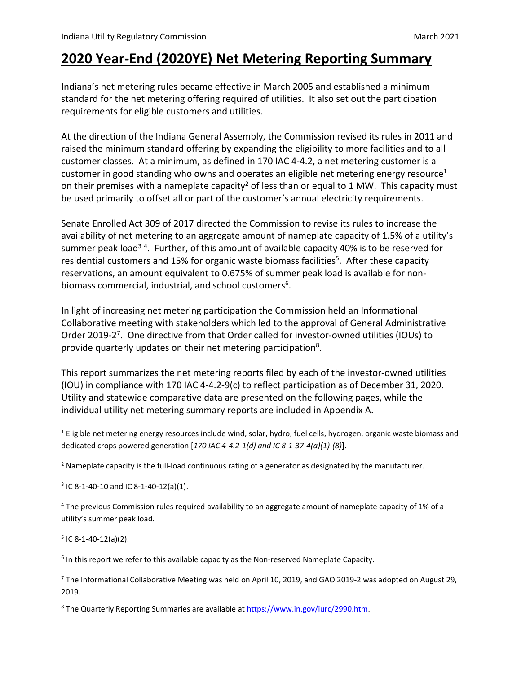## **2020 Year‐End (2020YE) Net Metering Reporting Summary**

Indiana's net metering rules became effective in March 2005 and established a minimum standard for the net metering offering required of utilities. It also set out the participation requirements for eligible customers and utilities.

At the direction of the Indiana General Assembly, the Commission revised its rules in 2011 and raised the minimum standard offering by expanding the eligibility to more facilities and to all customer classes. At a minimum, as defined in 170 IAC 4‐4.2, a net metering customer is a customer in good standing who owns and operates an eligible net metering energy resource<sup>1</sup> on their premises with a nameplate capacity<sup>2</sup> of less than or equal to 1 MW. This capacity must be used primarily to offset all or part of the customer's annual electricity requirements.

Senate Enrolled Act 309 of 2017 directed the Commission to revise its rules to increase the availability of net metering to an aggregate amount of nameplate capacity of 1.5% of a utility's summer peak load<sup>34</sup>. Further, of this amount of available capacity 40% is to be reserved for residential customers and 15% for organic waste biomass facilities<sup>5</sup>. After these capacity reservations, an amount equivalent to 0.675% of summer peak load is available for non‐ biomass commercial, industrial, and school customers<sup>6</sup>.

In light of increasing net metering participation the Commission held an Informational Collaborative meeting with stakeholders which led to the approval of General Administrative Order 2019-2<sup>7</sup>. One directive from that Order called for investor-owned utilities (IOUs) to provide quarterly updates on their net metering participation<sup>8</sup>.

This report summarizes the net metering reports filed by each of the investor‐owned utilities (IOU) in compliance with 170 IAC 4‐4.2‐9(c) to reflect participation as of December 31, 2020. Utility and statewide comparative data are presented on the following pages, while the individual utility net metering summary reports are included in Appendix A.

 $3$  IC 8-1-40-10 and IC 8-1-40-12(a)(1).

<sup>4</sup> The previous Commission rules required availability to an aggregate amount of nameplate capacity of 1% of a utility's summer peak load.

 $5$  IC 8-1-40-12(a)(2).

 $6$  In this report we refer to this available capacity as the Non-reserved Nameplate Capacity.

<sup>7</sup> The Informational Collaborative Meeting was held on April 10, 2019, and GAO 2019‐2 was adopted on August 29, 2019.

<sup>8</sup> The Quarterly Reporting Summaries are available at https://www.in.gov/iurc/2990.htm.

<sup>&</sup>lt;sup>1</sup> Eligible net metering energy resources include wind, solar, hydro, fuel cells, hydrogen, organic waste biomass and dedicated crops powered generation [*170 IAC 4‐4.2‐1(d) and IC 8‐1‐37‐4(a)(1)‐(8)*].

 $2$  Nameplate capacity is the full-load continuous rating of a generator as designated by the manufacturer.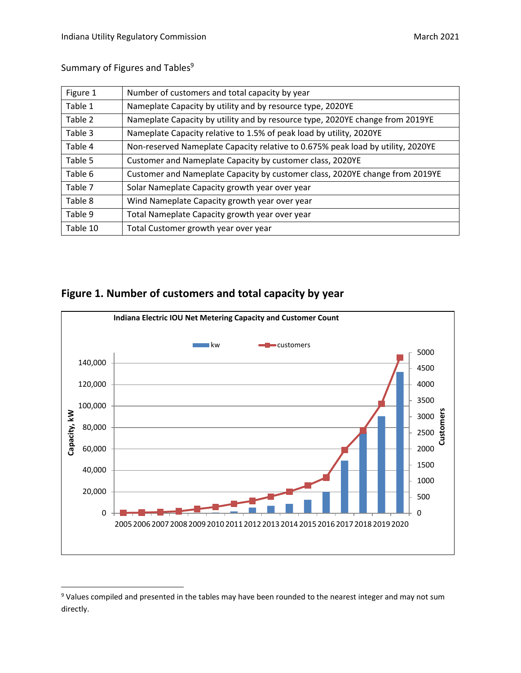**Customers**

Summary of Figures and Tables<sup>9</sup>

| Figure 1 | Number of customers and total capacity by year                                  |
|----------|---------------------------------------------------------------------------------|
| Table 1  | Nameplate Capacity by utility and by resource type, 2020YE                      |
| Table 2  | Nameplate Capacity by utility and by resource type, 2020YE change from 2019YE   |
| Table 3  | Nameplate Capacity relative to 1.5% of peak load by utility, 2020YE             |
| Table 4  | Non-reserved Nameplate Capacity relative to 0.675% peak load by utility, 2020YE |
| Table 5  | Customer and Nameplate Capacity by customer class, 2020YE                       |
| Table 6  | Customer and Nameplate Capacity by customer class, 2020YE change from 2019YE    |
| Table 7  | Solar Nameplate Capacity growth year over year                                  |
| Table 8  | Wind Nameplate Capacity growth year over year                                   |
| Table 9  | Total Nameplate Capacity growth year over year                                  |
| Table 10 | Total Customer growth year over year                                            |



#### **Figure 1. Number of customers and total capacity by year**

<sup>&</sup>lt;sup>9</sup> Values compiled and presented in the tables may have been rounded to the nearest integer and may not sum directly.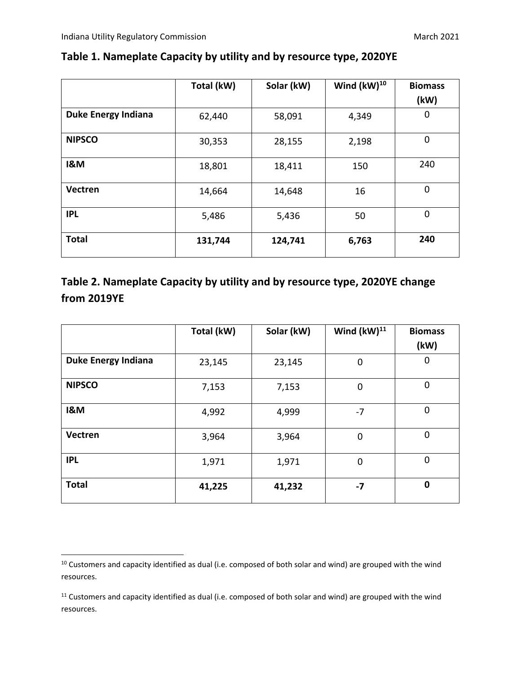|                            | Total (kW) | Solar (kW) | Wind $(kW)^{10}$ | <b>Biomass</b> |
|----------------------------|------------|------------|------------------|----------------|
|                            |            |            |                  | (kW)           |
| <b>Duke Energy Indiana</b> | 62,440     | 58,091     | 4,349            | 0              |
| <b>NIPSCO</b>              | 30,353     | 28,155     | 2,198            | $\mathbf 0$    |
| <b>I&amp;M</b>             | 18,801     | 18,411     | 150              | 240            |
| Vectren                    | 14,664     | 14,648     | 16               | $\mathbf 0$    |
| <b>IPL</b>                 | 5,486      | 5,436      | 50               | $\mathbf 0$    |
| <b>Total</b>               | 131,744    | 124,741    | 6,763            | 240            |

## **Table 1. Nameplate Capacity by utility and by resource type, 2020YE**

#### **Table 2. Nameplate Capacity by utility and by resource type, 2020YE change from 2019YE**

|                            | Total (kW) | Solar (kW) | Wind $(kW)^{11}$ | <b>Biomass</b> |
|----------------------------|------------|------------|------------------|----------------|
|                            |            |            |                  | (kW)           |
| <b>Duke Energy Indiana</b> | 23,145     | 23,145     | 0                | 0              |
| <b>NIPSCO</b>              | 7,153      | 7,153      | $\mathbf 0$      | $\mathbf 0$    |
| <b>I&amp;M</b>             | 4,992      | 4,999      | $-7$             | 0              |
| Vectren                    | 3,964      | 3,964      | $\mathbf 0$      | 0              |
| <b>IPL</b>                 | 1,971      | 1,971      | $\mathbf 0$      | $\mathbf 0$    |
| <b>Total</b>               | 41,225     | 41,232     | $-7$             | $\bf{0}$       |

<sup>&</sup>lt;sup>10</sup> Customers and capacity identified as dual (i.e. composed of both solar and wind) are grouped with the wind resources.

<sup>&</sup>lt;sup>11</sup> Customers and capacity identified as dual (i.e. composed of both solar and wind) are grouped with the wind resources.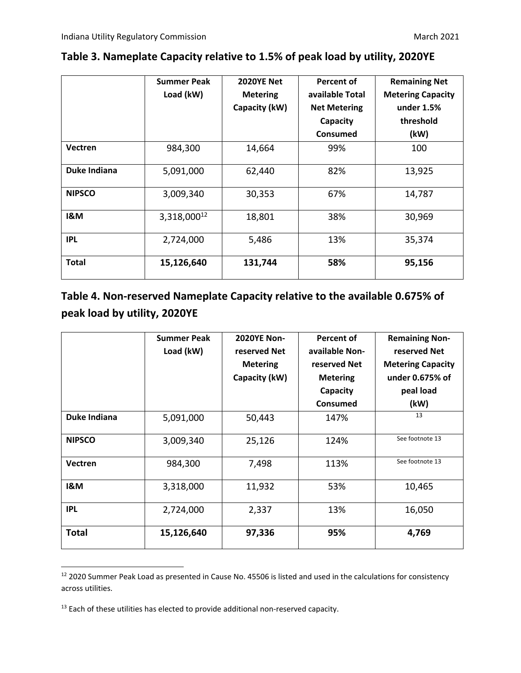|                | <b>Summer Peak</b><br>Load (kW) | <b>2020YE Net</b><br><b>Metering</b><br>Capacity (kW) | <b>Percent of</b><br>available Total<br><b>Net Metering</b><br>Capacity | <b>Remaining Net</b><br><b>Metering Capacity</b><br>under 1.5%<br>threshold |
|----------------|---------------------------------|-------------------------------------------------------|-------------------------------------------------------------------------|-----------------------------------------------------------------------------|
|                |                                 |                                                       | <b>Consumed</b>                                                         | (kW)                                                                        |
| Vectren        | 984,300                         | 14,664                                                | 99%                                                                     | 100                                                                         |
| Duke Indiana   | 5,091,000                       | 62,440                                                | 82%                                                                     | 13,925                                                                      |
| <b>NIPSCO</b>  | 3,009,340                       | 30,353                                                | 67%                                                                     | 14,787                                                                      |
| <b>I&amp;M</b> | 3,318,00012                     | 18,801                                                | 38%                                                                     | 30,969                                                                      |
| <b>IPL</b>     | 2,724,000                       | 5,486                                                 | 13%                                                                     | 35,374                                                                      |
| <b>Total</b>   | 15,126,640                      | 131,744                                               | 58%                                                                     | 95,156                                                                      |

## **Table 3. Nameplate Capacity relative to 1.5% of peak load by utility, 2020YE**

#### **Table 4. Non‐reserved Nameplate Capacity relative to the available 0.675% of peak load by utility, 2020YE**

|                | <b>Summer Peak</b><br>Load (kW) | <b>2020YE Non-</b><br>reserved Net<br><b>Metering</b><br>Capacity (kW) | Percent of<br>available Non-<br>reserved Net<br><b>Metering</b><br>Capacity<br>Consumed | <b>Remaining Non-</b><br>reserved Net<br><b>Metering Capacity</b><br>under 0.675% of<br>peal load<br>(kW) |
|----------------|---------------------------------|------------------------------------------------------------------------|-----------------------------------------------------------------------------------------|-----------------------------------------------------------------------------------------------------------|
| Duke Indiana   | 5,091,000                       | 50,443                                                                 | 147%                                                                                    | 13                                                                                                        |
| <b>NIPSCO</b>  | 3,009,340                       | 25,126                                                                 | 124%                                                                                    | See footnote 13                                                                                           |
| <b>Vectren</b> | 984,300                         | 7,498                                                                  | 113%                                                                                    | See footnote 13                                                                                           |
| <b>I&amp;M</b> | 3,318,000                       | 11,932                                                                 | 53%                                                                                     | 10,465                                                                                                    |
| <b>IPL</b>     | 2,724,000                       | 2,337                                                                  | 13%                                                                                     | 16,050                                                                                                    |
| <b>Total</b>   | 15,126,640                      | 97,336                                                                 | 95%                                                                                     | 4,769                                                                                                     |

<sup>&</sup>lt;sup>12</sup> 2020 Summer Peak Load as presented in Cause No. 45506 is listed and used in the calculations for consistency across utilities.

<sup>&</sup>lt;sup>13</sup> Each of these utilities has elected to provide additional non-reserved capacity.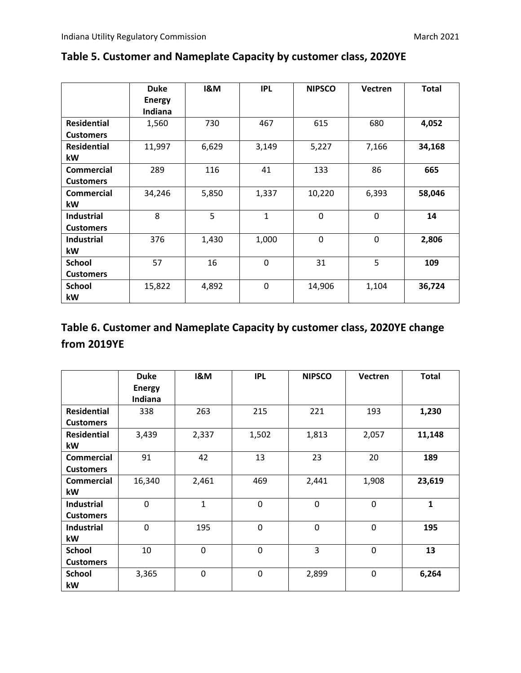|                    | <b>Duke</b>   | <b>I&amp;M</b> | <b>IPL</b>   | <b>NIPSCO</b> | <b>Vectren</b> | <b>Total</b> |
|--------------------|---------------|----------------|--------------|---------------|----------------|--------------|
|                    | <b>Energy</b> |                |              |               |                |              |
|                    | Indiana       |                |              |               |                |              |
| <b>Residential</b> | 1,560         | 730            | 467          | 615           | 680            | 4,052        |
| <b>Customers</b>   |               |                |              |               |                |              |
| <b>Residential</b> | 11,997        | 6,629          | 3,149        | 5,227         | 7,166          | 34,168       |
| kW                 |               |                |              |               |                |              |
| <b>Commercial</b>  | 289           | 116            | 41           | 133           | 86             | 665          |
| <b>Customers</b>   |               |                |              |               |                |              |
| <b>Commercial</b>  | 34,246        | 5,850          | 1,337        | 10,220        | 6,393          | 58,046       |
| kW                 |               |                |              |               |                |              |
| <b>Industrial</b>  | 8             | 5              | $\mathbf{1}$ | 0             | 0              | 14           |
| <b>Customers</b>   |               |                |              |               |                |              |
| <b>Industrial</b>  | 376           | 1,430          | 1,000        | 0             | 0              | 2,806        |
| kW                 |               |                |              |               |                |              |
| <b>School</b>      | 57            | 16             | 0            | 31            | 5              | 109          |
| <b>Customers</b>   |               |                |              |               |                |              |
| <b>School</b>      | 15,822        | 4,892          | $\mathbf 0$  | 14,906        | 1,104          | 36,724       |
| kW                 |               |                |              |               |                |              |

#### **Table 5. Customer and Nameplate Capacity by customer class, 2020YE**

## **Table 6. Customer and Nameplate Capacity by customer class, 2020YE change from 2019YE**

|                    | <b>Duke</b>   | <b>I&amp;M</b> | <b>IPL</b> | <b>NIPSCO</b> | Vectren | <b>Total</b> |
|--------------------|---------------|----------------|------------|---------------|---------|--------------|
|                    | <b>Energy</b> |                |            |               |         |              |
|                    | Indiana       |                |            |               |         |              |
| <b>Residential</b> | 338           | 263            | 215        | 221           | 193     | 1,230        |
| <b>Customers</b>   |               |                |            |               |         |              |
| <b>Residential</b> | 3,439         | 2,337          | 1,502      | 1,813         | 2,057   | 11,148       |
| kW                 |               |                |            |               |         |              |
| <b>Commercial</b>  | 91            | 42             | 13         | 23            | 20      | 189          |
| <b>Customers</b>   |               |                |            |               |         |              |
| <b>Commercial</b>  | 16,340        | 2,461          | 469        | 2,441         | 1,908   | 23,619       |
| kW                 |               |                |            |               |         |              |
| <b>Industrial</b>  | 0             | $\mathbf{1}$   | 0          | 0             | 0       | $\mathbf{1}$ |
| <b>Customers</b>   |               |                |            |               |         |              |
| <b>Industrial</b>  | 0             | 195            | 0          | $\mathbf{0}$  | 0       | 195          |
| kW                 |               |                |            |               |         |              |
| <b>School</b>      | 10            | 0              | 0          | 3             | 0       | 13           |
| <b>Customers</b>   |               |                |            |               |         |              |
| <b>School</b>      | 3,365         | $\mathbf 0$    | 0          | 2,899         | 0       | 6,264        |
| kW                 |               |                |            |               |         |              |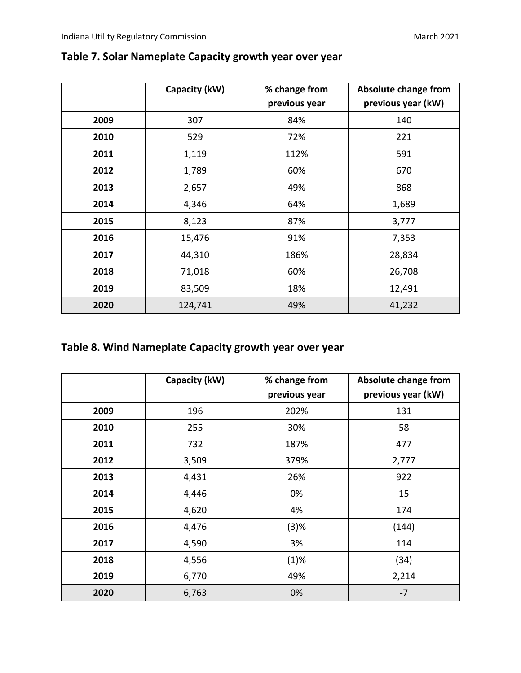|      | Capacity (kW) | % change from | Absolute change from |
|------|---------------|---------------|----------------------|
|      |               | previous year | previous year (kW)   |
| 2009 | 307           | 84%           | 140                  |
| 2010 | 529           | 72%           | 221                  |
| 2011 | 1,119         | 112%          | 591                  |
| 2012 | 1,789         | 60%           | 670                  |
| 2013 | 2,657         | 49%           | 868                  |
| 2014 | 4,346         | 64%           | 1,689                |
| 2015 | 8,123         | 87%           | 3,777                |
| 2016 | 15,476        | 91%           | 7,353                |
| 2017 | 44,310        | 186%          | 28,834               |
| 2018 | 71,018        | 60%           | 26,708               |
| 2019 | 83,509        | 18%           | 12,491               |
| 2020 | 124,741       | 49%           | 41,232               |

#### **Table 7. Solar Nameplate Capacity growth year over year**

## **Table 8. Wind Nameplate Capacity growth year over year**

|      | Capacity (kW) | % change from | Absolute change from |
|------|---------------|---------------|----------------------|
|      |               | previous year | previous year (kW)   |
| 2009 | 196           | 202%          | 131                  |
| 2010 | 255           | 30%           | 58                   |
| 2011 | 732           | 187%          | 477                  |
| 2012 | 3,509         | 379%          | 2,777                |
| 2013 | 4,431         | 26%           | 922                  |
| 2014 | 4,446         | 0%            | 15                   |
| 2015 | 4,620         | 4%            | 174                  |
| 2016 | 4,476         | (3)%          | (144)                |
| 2017 | 4,590         | 3%            | 114                  |
| 2018 | 4,556         | (1)%          | (34)                 |
| 2019 | 6,770         | 49%           | 2,214                |
| 2020 | 6,763         | 0%            | $-7$                 |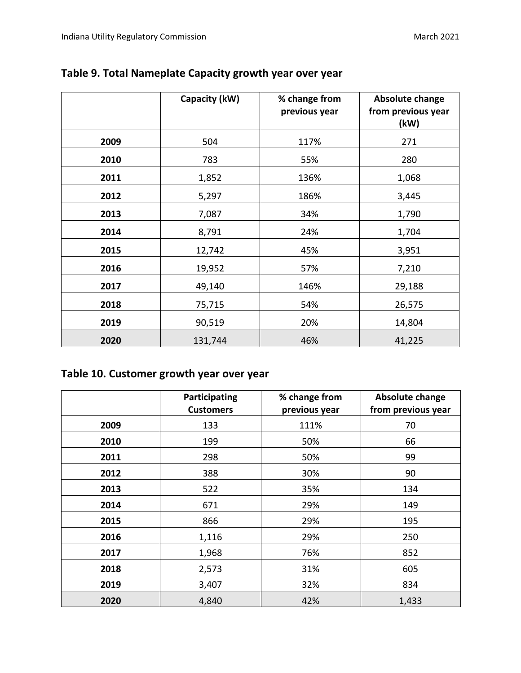|      | Capacity (kW) | % change from<br>previous year | <b>Absolute change</b><br>from previous year<br>(kW) |
|------|---------------|--------------------------------|------------------------------------------------------|
| 2009 | 504           | 117%                           | 271                                                  |
| 2010 | 783           | 55%                            | 280                                                  |
| 2011 | 1,852         | 136%                           | 1,068                                                |
| 2012 | 5,297         | 186%                           | 3,445                                                |
| 2013 | 7,087         | 34%                            | 1,790                                                |
| 2014 | 8,791         | 24%                            | 1,704                                                |
| 2015 | 12,742        | 45%                            | 3,951                                                |
| 2016 | 19,952        | 57%                            | 7,210                                                |
| 2017 | 49,140        | 146%                           | 29,188                                               |
| 2018 | 75,715        | 54%                            | 26,575                                               |
| 2019 | 90,519        | 20%                            | 14,804                                               |
| 2020 | 131,744       | 46%                            | 41,225                                               |

#### **Table 9. Total Nameplate Capacity growth year over year**

#### **Table 10. Customer growth year over year**

|      | Participating<br><b>Customers</b> | % change from<br>previous year | <b>Absolute change</b><br>from previous year |
|------|-----------------------------------|--------------------------------|----------------------------------------------|
| 2009 | 133                               | 111%                           | 70                                           |
| 2010 | 199                               | 50%                            | 66                                           |
| 2011 | 298                               | 50%                            | 99                                           |
| 2012 | 388                               | 30%                            | 90                                           |
| 2013 | 522                               | 35%                            | 134                                          |
| 2014 | 671                               | 29%                            | 149                                          |
| 2015 | 866                               | 29%                            | 195                                          |
| 2016 | 1,116                             | 29%                            | 250                                          |
| 2017 | 1,968                             | 76%                            | 852                                          |
| 2018 | 2,573                             | 31%                            | 605                                          |
| 2019 | 3,407                             | 32%                            | 834                                          |
| 2020 | 4,840                             | 42%                            | 1,433                                        |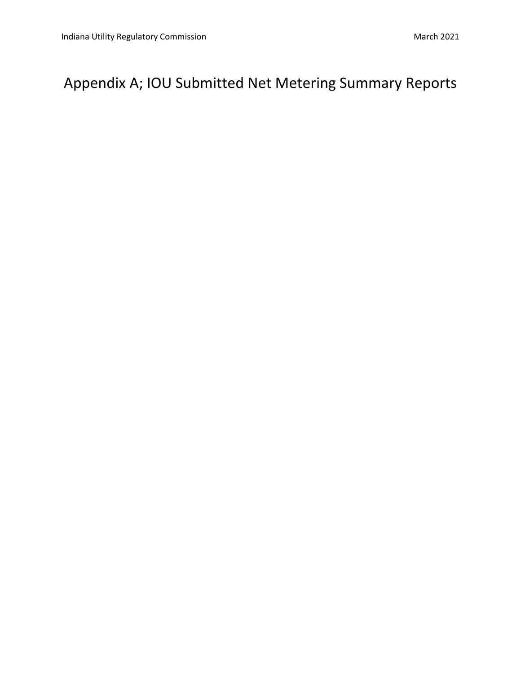# Appendix A; IOU Submitted Net Metering Summary Reports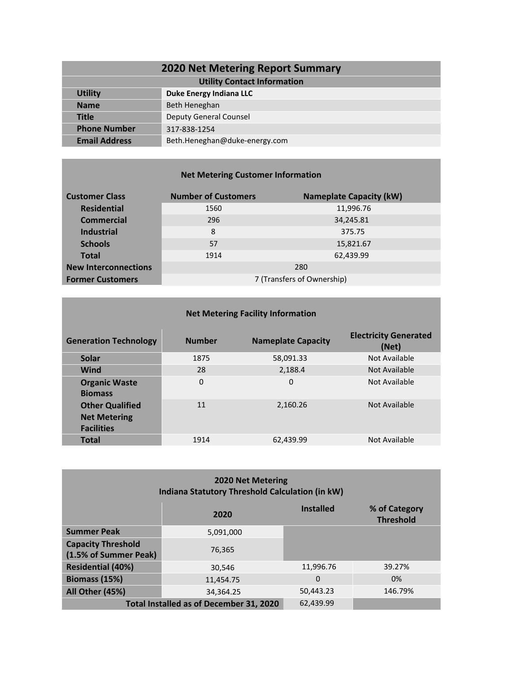| <b>2020 Net Metering Report Summary</b> |                               |  |  |
|-----------------------------------------|-------------------------------|--|--|
| <b>Utility Contact Information</b>      |                               |  |  |
| <b>Utility</b>                          | Duke Energy Indiana LLC       |  |  |
| <b>Name</b>                             | Beth Heneghan                 |  |  |
| Title                                   | <b>Deputy General Counsel</b> |  |  |
| <b>Phone Number</b>                     | 317-838-1254                  |  |  |
| <b>Email Address</b>                    | Beth.Heneghan@duke-energy.com |  |  |

#### **Net Metering Customer Information**

| <b>Customer Class</b>       | <b>Number of Customers</b> | <b>Nameplate Capacity (kW)</b> |
|-----------------------------|----------------------------|--------------------------------|
| <b>Residential</b>          | 1560                       | 11,996.76                      |
| <b>Commercial</b>           | 296                        | 34,245.81                      |
| <b>Industrial</b>           | 8                          | 375.75                         |
| <b>Schools</b>              | 57                         | 15,821.67                      |
| <b>Total</b>                | 1914                       | 62,439.99                      |
| <b>New Interconnections</b> |                            | 280                            |
| <b>Former Customers</b>     | 7 (Transfers of Ownership) |                                |

| <b>Net Metering Facility Information</b>                           |               |                           |                                       |  |
|--------------------------------------------------------------------|---------------|---------------------------|---------------------------------------|--|
| <b>Generation Technology</b>                                       | <b>Number</b> | <b>Nameplate Capacity</b> | <b>Electricity Generated</b><br>(Net) |  |
| <b>Solar</b>                                                       | 1875          | 58,091.33                 | Not Available                         |  |
| <b>Wind</b>                                                        | 28            | 2,188.4                   | Not Available                         |  |
| <b>Organic Waste</b><br><b>Biomass</b>                             | 0             | 0                         | Not Available                         |  |
| <b>Other Qualified</b><br><b>Net Metering</b><br><b>Facilities</b> | 11            | 2.160.26                  | Not Available                         |  |
| <b>Total</b>                                                       | 1914          | 62,439.99                 | Not Available                         |  |

| <b>2020 Net Metering</b><br><b>Indiana Statutory Threshold Calculation (in kW)</b> |           |                  |                                   |
|------------------------------------------------------------------------------------|-----------|------------------|-----------------------------------|
|                                                                                    | 2020      | <b>Installed</b> | % of Category<br><b>Threshold</b> |
| <b>Summer Peak</b>                                                                 | 5,091,000 |                  |                                   |
| <b>Capacity Threshold</b><br>(1.5% of Summer Peak)                                 | 76.365    |                  |                                   |
| <b>Residential (40%)</b>                                                           | 30.546    | 11,996.76        | 39.27%                            |
| Biomass (15%)                                                                      | 11,454.75 | $\Omega$         | 0%                                |
| All Other (45%)                                                                    | 34,364.25 | 50,443.23        | 146.79%                           |
| Total Installed as of December 31, 2020<br>62.439.99                               |           |                  |                                   |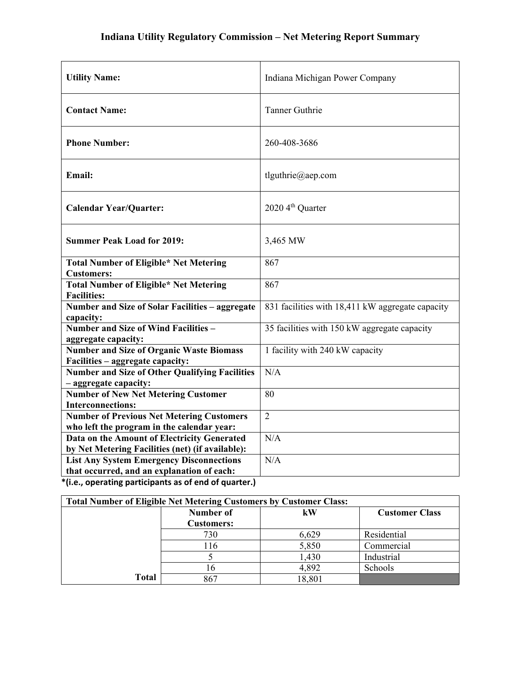| Indiana Michigan Power Company                   |
|--------------------------------------------------|
| <b>Tanner Guthrie</b>                            |
| 260-408-3686                                     |
| tlguthrie@aep.com                                |
| 2020 4 <sup>th</sup> Quarter                     |
| 3,465 MW                                         |
| 867                                              |
| 867                                              |
| 831 facilities with 18,411 kW aggregate capacity |
| 35 facilities with 150 kW aggregate capacity     |
| 1 facility with 240 kW capacity                  |
| N/A                                              |
| 80                                               |
| $\overline{2}$                                   |
| N/A                                              |
| N/A                                              |
|                                                  |

| <b>Total Number of Eligible Net Metering Customers by Customer Class:</b> |                                |        |                       |
|---------------------------------------------------------------------------|--------------------------------|--------|-----------------------|
|                                                                           | Number of<br><b>Customers:</b> | kW     | <b>Customer Class</b> |
|                                                                           | 730                            | 6,629  | Residential           |
|                                                                           | 116                            | 5,850  | Commercial            |
|                                                                           |                                | 1,430  | Industrial            |
|                                                                           | 16                             | 4,892  | Schools               |
| <b>Total</b>                                                              | 867                            | 18,801 |                       |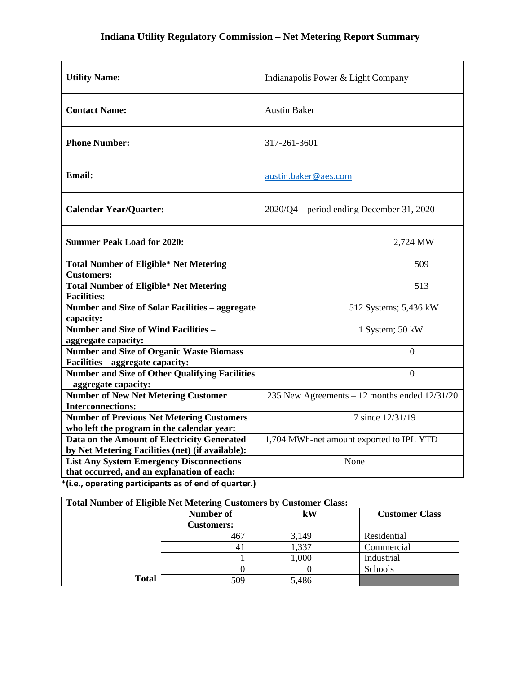| <b>Utility Name:</b>                                                                            | Indianapolis Power & Light Company            |
|-------------------------------------------------------------------------------------------------|-----------------------------------------------|
| <b>Contact Name:</b>                                                                            | <b>Austin Baker</b>                           |
| <b>Phone Number:</b>                                                                            | 317-261-3601                                  |
| <b>Email:</b>                                                                                   | austin.baker@aes.com                          |
| <b>Calendar Year/Quarter:</b>                                                                   | $2020/Q4$ – period ending December 31, 2020   |
| <b>Summer Peak Load for 2020:</b>                                                               | 2,724 MW                                      |
| <b>Total Number of Eligible* Net Metering</b><br><b>Customers:</b>                              | 509                                           |
| <b>Total Number of Eligible* Net Metering</b><br><b>Facilities:</b>                             | 513                                           |
| Number and Size of Solar Facilities - aggregate<br>capacity:                                    | 512 Systems; 5,436 kW                         |
| <b>Number and Size of Wind Facilities -</b><br>aggregate capacity:                              | 1 System; 50 kW                               |
| <b>Number and Size of Organic Waste Biomass</b><br>Facilities - aggregate capacity:             | $\overline{0}$                                |
| <b>Number and Size of Other Qualifying Facilities</b><br>- aggregate capacity:                  | $\overline{0}$                                |
| <b>Number of New Net Metering Customer</b><br><b>Interconnections:</b>                          | 235 New Agreements - 12 months ended 12/31/20 |
| <b>Number of Previous Net Metering Customers</b><br>who left the program in the calendar year:  | 7 since 12/31/19                              |
| Data on the Amount of Electricity Generated<br>by Net Metering Facilities (net) (if available): | 1,704 MWh-net amount exported to IPL YTD      |
| <b>List Any System Emergency Disconnections</b><br>that occurred, and an explanation of each:   | None                                          |
| *(i.e., operating participants as of end of quarter.)                                           |                                               |

| <b>Total Number of Eligible Net Metering Customers by Customer Class:</b> |                   |          |                       |
|---------------------------------------------------------------------------|-------------------|----------|-----------------------|
|                                                                           | Number of         | $\bf kW$ | <b>Customer Class</b> |
|                                                                           | <b>Customers:</b> |          |                       |
|                                                                           | 467               | 3,149    | Residential           |
|                                                                           |                   | 1,337    | Commercial            |
|                                                                           |                   | 1,000    | Industrial            |
|                                                                           |                   |          | Schools               |
| <b>Total</b>                                                              | 509               | 5,486    |                       |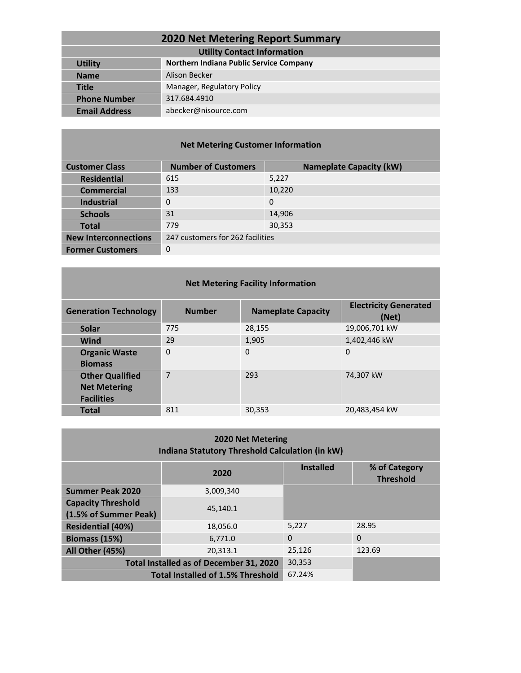| <b>2020 Net Metering Report Summary</b> |                                         |  |
|-----------------------------------------|-----------------------------------------|--|
| <b>Utility Contact Information</b>      |                                         |  |
| <b>Utility</b>                          | Northern Indiana Public Service Company |  |
| <b>Name</b>                             | Alison Becker                           |  |
| <b>Title</b>                            | Manager, Regulatory Policy              |  |
| <b>Phone Number</b>                     | 317.684.4910                            |  |
| <b>Email Address</b>                    | abecker@nisource.com                    |  |
|                                         |                                         |  |

#### **Net Metering Customer Information**

| <b>Customer Class</b>       | <b>Number of Customers</b>       | <b>Nameplate Capacity (kW)</b> |
|-----------------------------|----------------------------------|--------------------------------|
| <b>Residential</b>          | 615                              | 5,227                          |
| <b>Commercial</b>           | 133                              | 10,220                         |
| <b>Industrial</b>           | $\Omega$                         | $\Omega$                       |
| <b>Schools</b>              | 31                               | 14,906                         |
| <b>Total</b>                | 779                              | 30,353                         |
| <b>New Interconnections</b> | 247 customers for 262 facilities |                                |
| <b>Former Customers</b>     | 0                                |                                |

#### **Net Metering Facility Information**

| <b>Generation Technology</b>                                       | <b>Number</b>  | <b>Nameplate Capacity</b> | <b>Electricity Generated</b><br>(Net) |
|--------------------------------------------------------------------|----------------|---------------------------|---------------------------------------|
| <b>Solar</b>                                                       | 775            | 28,155                    | 19,006,701 kW                         |
| <b>Wind</b>                                                        | 29             | 1,905                     | 1,402,446 kW                          |
| <b>Organic Waste</b><br><b>Biomass</b>                             | $\overline{0}$ | $\Omega$                  | 0                                     |
| <b>Other Qualified</b><br><b>Net Metering</b><br><b>Facilities</b> | $\overline{7}$ | 293                       | 74,307 kW                             |
| <b>Total</b>                                                       | 811            | 30,353                    | 20,483,454 kW                         |

| <b>2020 Net Metering</b><br>Indiana Statutory Threshold Calculation (in kW) |                                          |                  |                                   |
|-----------------------------------------------------------------------------|------------------------------------------|------------------|-----------------------------------|
|                                                                             | 2020                                     | <b>Installed</b> | % of Category<br><b>Threshold</b> |
| <b>Summer Peak 2020</b>                                                     | 3,009,340                                |                  |                                   |
| <b>Capacity Threshold</b>                                                   | 45.140.1                                 |                  |                                   |
| (1.5% of Summer Peak)                                                       |                                          |                  |                                   |
| <b>Residential (40%)</b>                                                    | 18,056.0                                 | 5,227            | 28.95                             |
| Biomass (15%)                                                               | 6,771.0                                  | $\Omega$         | $\Omega$                          |
| All Other (45%)                                                             | 20,313.1                                 | 25,126           | 123.69                            |
| Total Installed as of December 31, 2020                                     |                                          | 30,353           |                                   |
|                                                                             | <b>Total Installed of 1.5% Threshold</b> | 67.24%           |                                   |